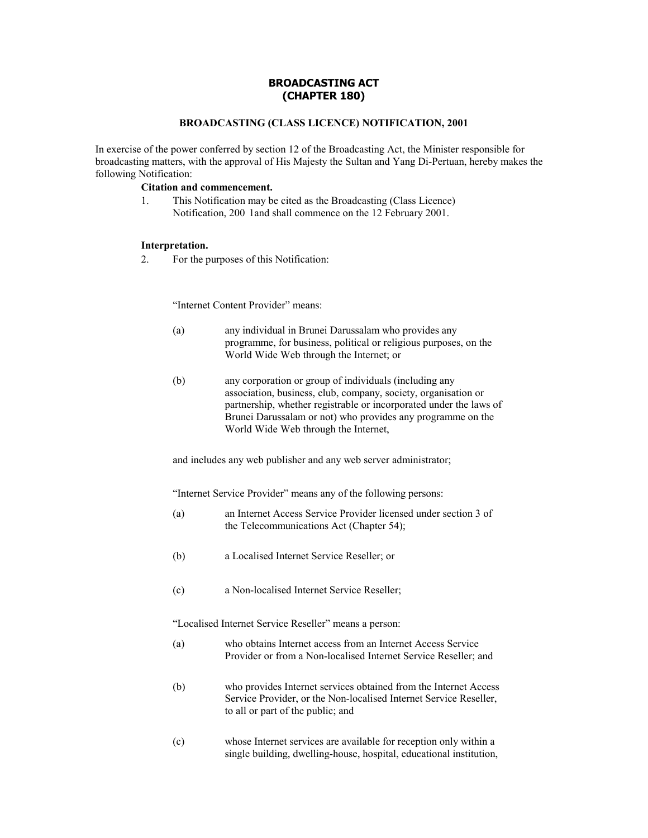# **BROADCASTING ACT (CHAPTER 180)**

## **BROADCASTING (CLASS LICENCE) NOTIFICATION, 2001**

In exercise of the power conferred by section 12 of the Broadcasting Act, the Minister responsible for broadcasting matters, with the approval of His Majesty the Sultan and Yang Di-Pertuan, hereby makes the following Notification:

# **Citation and commencement.**

1. This Notification may be cited as the Broadcasting (Class Licence) Notification, 200 1and shall commence on the 12 February 2001.

#### **Interpretation.**

2. For the purposes of this Notification:

"Internet Content Provider" means:

- (a) any individual in Brunei Darussalam who provides any programme, for business, political or religious purposes, on the World Wide Web through the Internet; or
- (b) any corporation or group of individuals (including any association, business, club, company, society, organisation or partnership, whether registrable or incorporated under the laws of Brunei Darussalam or not) who provides any programme on the World Wide Web through the Internet,

and includes any web publisher and any web server administrator;

"Internet Service Provider" means any of the following persons:

- (a) an Internet Access Service Provider licensed under section 3 of the Telecommunications Act (Chapter 54);
- (b) a Localised Internet Service Reseller; or
- (c) a Non-localised Internet Service Reseller;

"Localised Internet Service Reseller" means a person:

- (a) who obtains Internet access from an Internet Access Service Provider or from a Non-localised Internet Service Reseller; and
- (b) who provides Internet services obtained from the Internet Access Service Provider, or the Non-localised Internet Service Reseller, to all or part of the public; and
- (c) whose Internet services are available for reception only within a single building, dwelling-house, hospital, educational institution,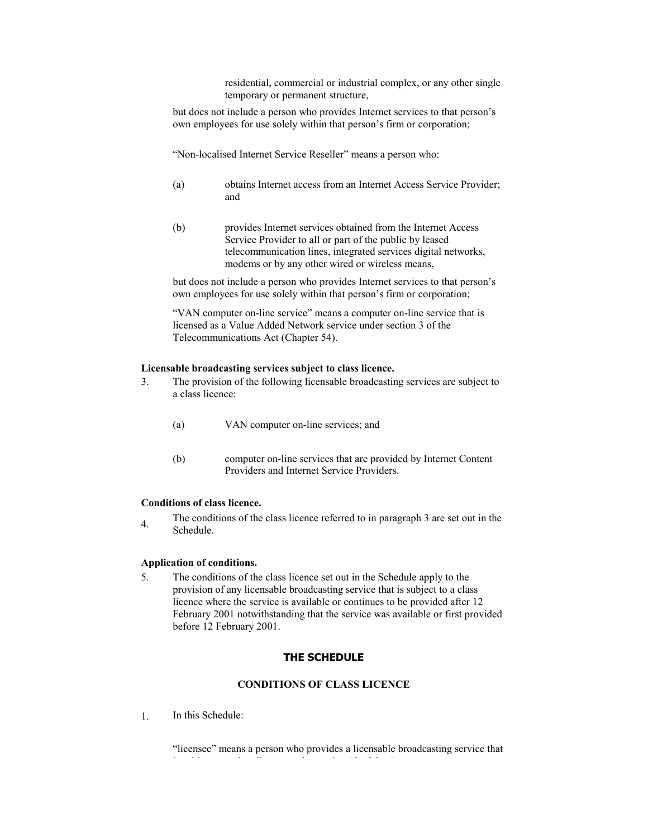residential, commercial or industrial complex, or any other single temporary or permanent structure,

but does not include a person who provides Internet services to that person's own employees for use solely within that person's firm or corporation;

"Non-localised Internet Service Reseller" means a person who:

- (a) obtains Internet access from an Internet Access Service Provider; and
- (b) provides Internet services obtained from the Internet Access Service Provider to all or part of the public by leased telecommunication lines, integrated services digital networks, modems or by any other wired or wireless means,

but does not include a person who provides Internet services to that person's own employees for use solely within that person's firm or corporation;

"VAN computer on-line service" means a computer on-line service that is licensed as a Value Added Network service under section 3 of the Telecommunications Act (Chapter 54).

#### **Licensable broadcasting services subject to class licence.**

- 3. The provision of the following licensable broadcasting services are subject to a class licence:
	- (a) VAN computer on-line services; and
	- (b) computer on-line services that are provided by Internet Content Providers and Internet Service Providers.

### **Conditions of class licence.**

4. The conditions of the class licence referred to in paragraph 3 are set out in the Schedule.

#### **Application of conditions.**

5. The conditions of the class licence set out in the Schedule apply to the provision of any licensable broadcasting service that is subject to a class licence where the service is available or continues to be provided after 12 February 2001 notwithstanding that the service was available or first provided before 12 February 2001.

# **THE SCHEDULE**

# **CONDITIONS OF CLASS LICENCE**

1. In this Schedule:

ìlicenseeî means a person who provides a licensable broadcasting service that i bjern de sterke med de sterke med de sterke med de sterke med de sterke med de sterke med de sterke med de s<br>De sterke med de sterke med de sterke med de sterke med de sterke med de sterke med de sterke med de sterke me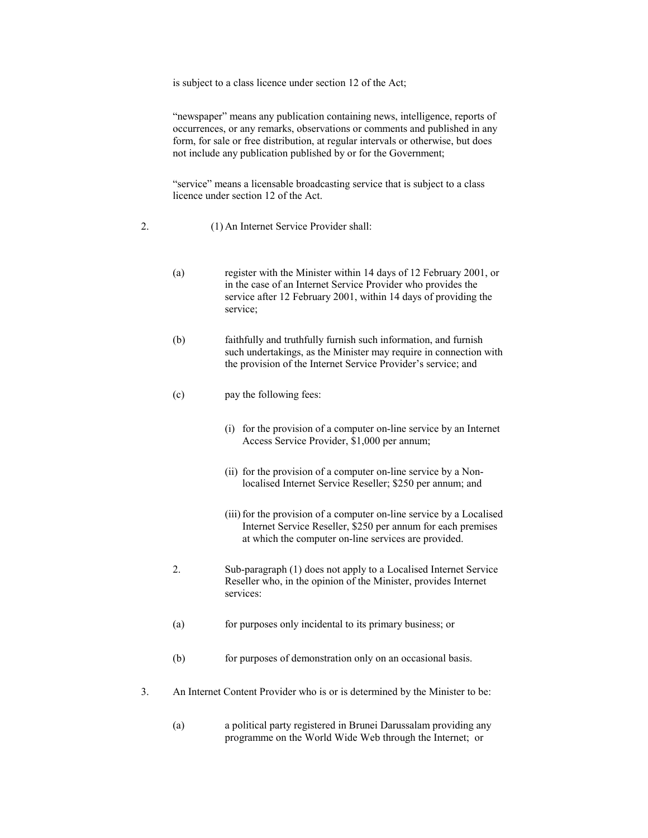is subject to a class licence under section 12 of the Act;

"newspaper" means any publication containing news, intelligence, reports of occurrences, or any remarks, observations or comments and published in any form, for sale or free distribution, at regular intervals or otherwise, but does not include any publication published by or for the Government;

"service" means a licensable broadcasting service that is subject to a class licence under section 12 of the Act.

- 2. (1) An Internet Service Provider shall:
	- (a) register with the Minister within 14 days of 12 February 2001, or in the case of an Internet Service Provider who provides the service after 12 February 2001, within 14 days of providing the service;
	- (b) faithfully and truthfully furnish such information, and furnish such undertakings, as the Minister may require in connection with the provision of the Internet Service Provider's service; and
	- (c) pay the following fees:
		- (i) for the provision of a computer on-line service by an Internet Access Service Provider, \$1,000 per annum;
		- (ii) for the provision of a computer on-line service by a Nonlocalised Internet Service Reseller; \$250 per annum; and
		- (iii) for the provision of a computer on-line service by a Localised Internet Service Reseller, \$250 per annum for each premises at which the computer on-line services are provided.
	- 2. Sub-paragraph (1) does not apply to a Localised Internet Service Reseller who, in the opinion of the Minister, provides Internet services:
	- (a) for purposes only incidental to its primary business; or
	- (b) for purposes of demonstration only on an occasional basis.
- 3. An Internet Content Provider who is or is determined by the Minister to be:
	- (a) a political party registered in Brunei Darussalam providing any programme on the World Wide Web through the Internet; or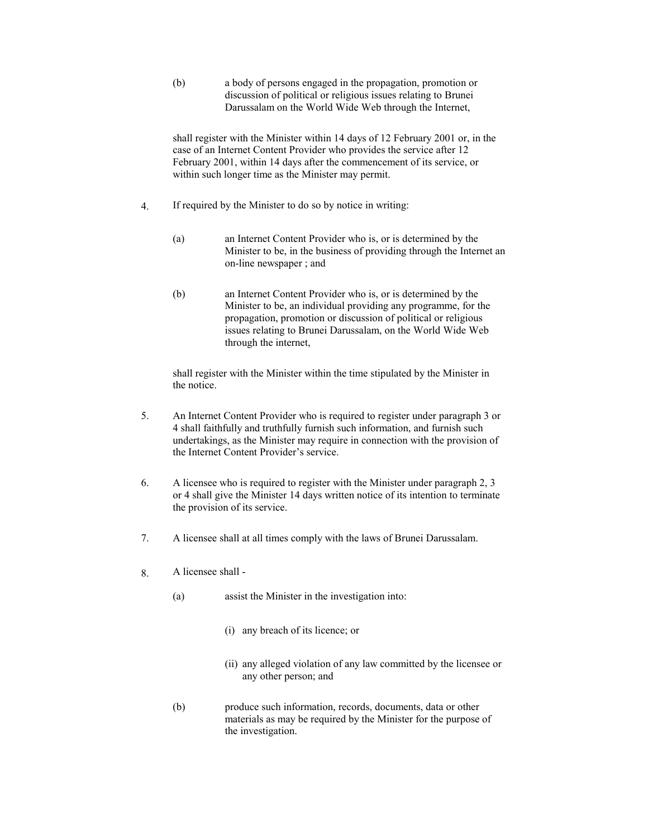(b) a body of persons engaged in the propagation, promotion or discussion of political or religious issues relating to Brunei Darussalam on the World Wide Web through the Internet,

shall register with the Minister within 14 days of 12 February 2001 or, in the case of an Internet Content Provider who provides the service after 12 February 2001, within 14 days after the commencement of its service, or within such longer time as the Minister may permit.

- 4. If required by the Minister to do so by notice in writing:
	- (a) an Internet Content Provider who is, or is determined by the Minister to be, in the business of providing through the Internet an on-line newspaper ; and
	- (b) an Internet Content Provider who is, or is determined by the Minister to be, an individual providing any programme, for the propagation, promotion or discussion of political or religious issues relating to Brunei Darussalam, on the World Wide Web through the internet,

shall register with the Minister within the time stipulated by the Minister in the notice.

- 5. An Internet Content Provider who is required to register under paragraph 3 or 4 shall faithfully and truthfully furnish such information, and furnish such undertakings, as the Minister may require in connection with the provision of the Internet Content Provider's service.
- 6. A licensee who is required to register with the Minister under paragraph 2, 3 or 4 shall give the Minister 14 days written notice of its intention to terminate the provision of its service.
- 7. A licensee shall at all times comply with the laws of Brunei Darussalam.
- 8. A licensee shall
	- (a) assist the Minister in the investigation into:
		- (i) any breach of its licence; or
		- (ii) any alleged violation of any law committed by the licensee or any other person; and
	- (b) produce such information, records, documents, data or other materials as may be required by the Minister for the purpose of the investigation.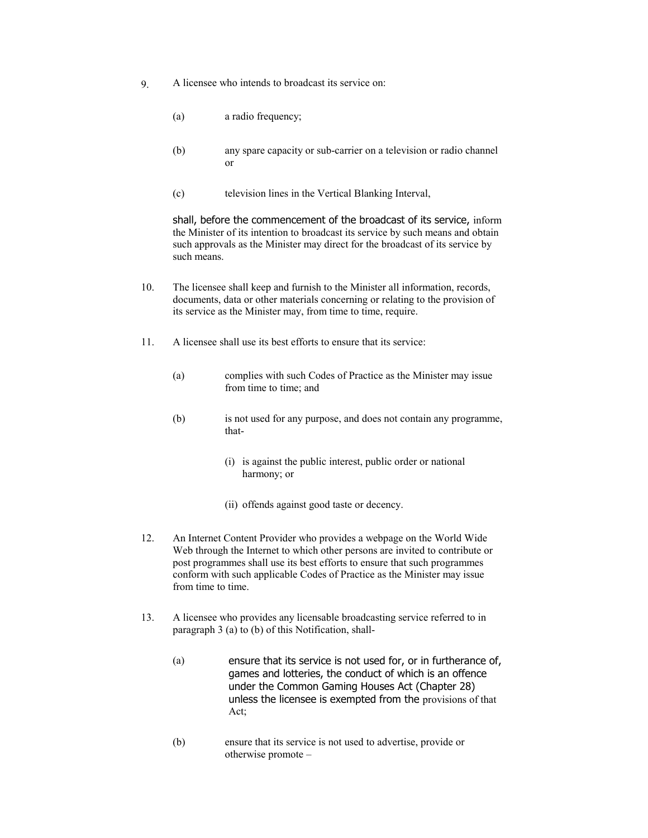- 9. A licensee who intends to broadcast its service on:
	- (a) a radio frequency;
	- (b) any spare capacity or sub-carrier on a television or radio channel or
	- (c) television lines in the Vertical Blanking Interval,

shall, before the commencement of the broadcast of its service, inform the Minister of its intention to broadcast its service by such means and obtain such approvals as the Minister may direct for the broadcast of its service by such means.

- 10. The licensee shall keep and furnish to the Minister all information, records, documents, data or other materials concerning or relating to the provision of its service as the Minister may, from time to time, require.
- 11. A licensee shall use its best efforts to ensure that its service:
	- (a) complies with such Codes of Practice as the Minister may issue from time to time; and
	- (b) is not used for any purpose, and does not contain any programme, that-
		- (i) is against the public interest, public order or national harmony; or
		- (ii) offends against good taste or decency.
- 12. An Internet Content Provider who provides a webpage on the World Wide Web through the Internet to which other persons are invited to contribute or post programmes shall use its best efforts to ensure that such programmes conform with such applicable Codes of Practice as the Minister may issue from time to time.
- 13. A licensee who provides any licensable broadcasting service referred to in paragraph 3 (a) to (b) of this Notification, shall-
	- (a) ensure that its service is not used for, or in furtherance of, games and lotteries, the conduct of which is an offence under the Common Gaming Houses Act (Chapter 28) unless the licensee is exempted from the provisions of that Act;
	- (b) ensure that its service is not used to advertise, provide or otherwise promote  $-$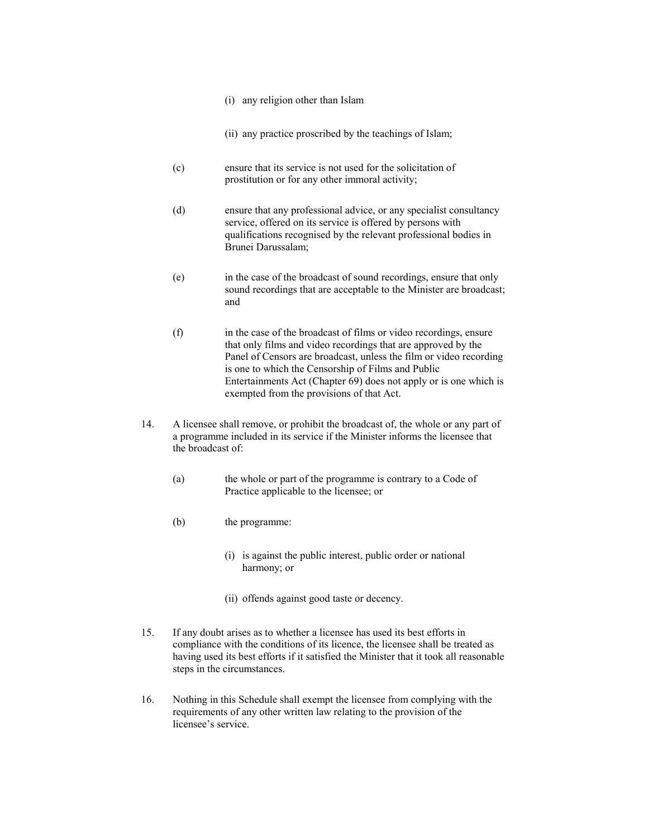- (i) any religion other than Islam
- (ii) any practice proscribed by the teachings of Islam;
- (c) ensure that its service is not used for the solicitation of prostitution or for any other immoral activity;
- (d) ensure that any professional advice, or any specialist consultancy service, offered on its service is offered by persons with qualifications recognised by the relevant professional bodies in Brunei Darussalam;
- (e) in the case of the broadcast of sound recordings, ensure that only sound recordings that are acceptable to the Minister are broadcast; and
- (f) in the case of the broadcast of films or video recordings, ensure that only films and video recordings that are approved by the Panel of Censors are broadcast, unless the film or video recording is one to which the Censorship of Films and Public Entertainments Act (Chapter 69) does not apply or is one which is exempted from the provisions of that Act.
- 14. A licensee shall remove, or prohibit the broadcast of, the whole or any part of a programme included in its service if the Minister informs the licensee that the broadcast of:
	- (a) the whole or part of the programme is contrary to a Code of Practice applicable to the licensee; or
	- (b) the programme:
		- (i) is against the public interest, public order or national harmony; or
		- (ii) offends against good taste or decency.
- 15. If any doubt arises as to whether a licensee has used its best efforts in compliance with the conditions of its licence, the licensee shall be treated as having used its best efforts if it satisfied the Minister that it took all reasonable steps in the circumstances.
- 16. Nothing in this Schedule shall exempt the licensee from complying with the requirements of any other written law relating to the provision of the licensee's service.